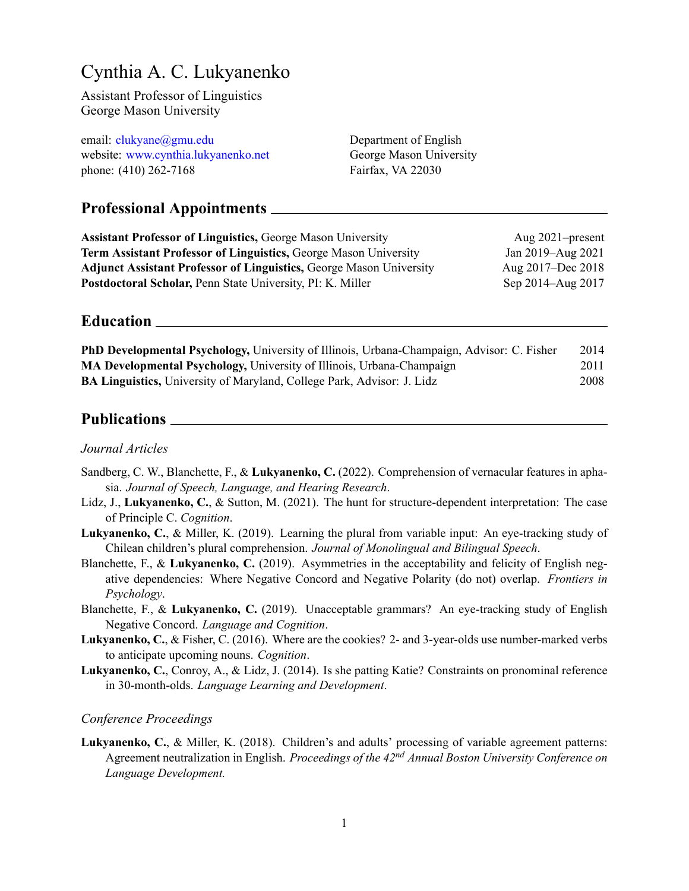# Cynthia A. C. Lukyanenko

Assistant Professor of Linguistics George Mason University

| email: clukyane@gmu.edu             | Department of English   |
|-------------------------------------|-------------------------|
| website: www.cynthia.lukyanenko.net | George Mason University |
| phone: (410) 262-7168               | Fairfax, VA 22030       |

# **Professional Appointments**

| <b>Assistant Professor of Linguistics, George Mason University</b>         | Aug $2021$ -present |
|----------------------------------------------------------------------------|---------------------|
| <b>Term Assistant Professor of Linguistics, George Mason University</b>    | Jan 2019–Aug 2021   |
| <b>Adjunct Assistant Professor of Linguistics, George Mason University</b> | Aug 2017–Dec 2018   |
| <b>Postdoctoral Scholar, Penn State University, PI: K. Miller</b>          | Sep 2014–Aug 2017   |

# **Education**

| <b>PhD Developmental Psychology, University of Illinois, Urbana-Champaign, Advisor: C. Fisher</b> | 2014 |
|---------------------------------------------------------------------------------------------------|------|
| <b>MA Developmental Psychology, University of Illinois, Urbana-Champaign</b>                      | 2011 |
| <b>BA Linguistics, University of Maryland, College Park, Advisor: J. Lidz</b>                     | 2008 |

### Publications **Publications**

#### *Journal Articles*

- Sandberg, C. W., Blanchette, F., & **Lukyanenko, C.** (2022). Comprehension of vernacular features in aphasia. *Journal of Speech, Language, and Hearing Research*.
- Lidz, J., **Lukyanenko, C.**, & Sutton, M. (2021). The hunt for structure-dependent interpretation: The case of Principle C. *Cognition*.
- **Lukyanenko, C.**, & Miller, K. (2019). Learning the plural from variable input: An eye-tracking study of Chilean children's plural comprehension. *Journal of Monolingual and Bilingual Speech*.
- Blanchette, F., & **Lukyanenko, C.** (2019). Asymmetries in the acceptability and felicity of English negative dependencies: Where Negative Concord and Negative Polarity (do not) overlap. *Frontiers in Psychology*.
- Blanchette, F., & **Lukyanenko, C.** (2019). Unacceptable grammars? An eye-tracking study of English Negative Concord. *Language and Cognition*.
- **Lukyanenko, C.**, & Fisher, C. (2016). Where are the cookies? 2- and 3-year-olds use number-marked verbs to anticipate upcoming nouns. *Cognition*.
- **Lukyanenko, C.**, Conroy, A., & Lidz, J. (2014). Is she patting Katie? Constraints on pronominal reference in 30-month-olds. *Language Learning and Development*.

### *Conference Proceedings*

**Lukyanenko, C.**, & Miller, K. (2018). Children's and adults' processing of variable agreement patterns: Agreement neutralization in English. *Proceedings of the 42nd Annual Boston University Conference on Language Development.*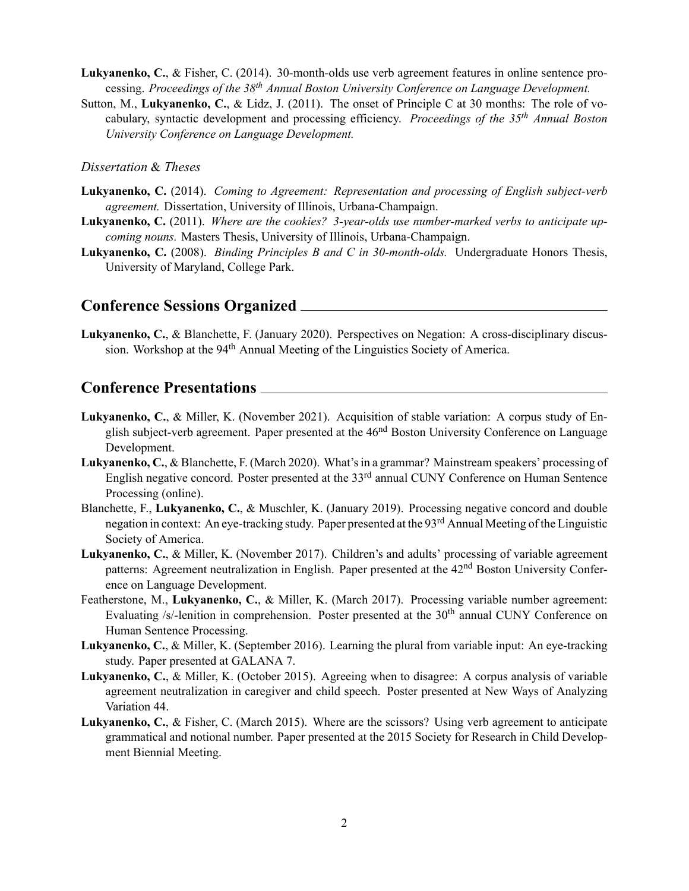- **Lukyanenko, C.**, & Fisher, C. (2014). 30-month-olds use verb agreement features in online sentence processing. *Proceedings of the 38th Annual Boston University Conference on Language Development.*
- Sutton, M., **Lukyanenko, C.**, & Lidz, J. (2011). The onset of Principle C at 30 months: The role of vocabulary, syntactic development and processing efficiency. *Proceedings of the 35th Annual Boston University Conference on Language Development.*

#### *Dissertation* & *Theses*

- **Lukyanenko, C.** (2014). *Coming to Agreement: Representation and processing of English subject-verb agreement.* Dissertation, University of Illinois, Urbana-Champaign.
- **Lukyanenko, C.** (2011). *Where are the cookies? 3-year-olds use number-marked verbs to anticipate upcoming nouns.* Masters Thesis, University of Illinois, Urbana-Champaign.
- **Lukyanenko, C.** (2008). *Binding Principles B and C in 30-month-olds.* Undergraduate Honors Thesis, University of Maryland, College Park.

### **Conference Sessions Organized**

**Lukyanenko, C.**, & Blanchette, F. (January 2020). Perspectives on Negation: A cross-disciplinary discussion. Workshop at the 94<sup>th</sup> Annual Meeting of the Linguistics Society of America.

### **Conference Presentations**

- **Lukyanenko, C.**, & Miller, K. (November 2021). Acquisition of stable variation: A corpus study of English subject-verb agreement. Paper presented at the  $46<sup>nd</sup>$  Boston University Conference on Language Development.
- **Lukyanenko, C.**, & Blanchette, F. (March 2020). What's in a grammar? Mainstream speakers' processing of English negative concord. Poster presented at the 33rd annual CUNY Conference on Human Sentence Processing (online).
- Blanchette, F., **Lukyanenko, C.**, & Muschler, K. (January 2019). Processing negative concord and double negation in context: An eye-tracking study. Paper presented at the 93<sup>rd</sup> Annual Meeting of the Linguistic Society of America.
- **Lukyanenko, C.**, & Miller, K. (November 2017). Children's and adults' processing of variable agreement patterns: Agreement neutralization in English. Paper presented at the 42<sup>nd</sup> Boston University Conference on Language Development.
- Featherstone, M., **Lukyanenko, C.**, & Miller, K. (March 2017). Processing variable number agreement: Evaluating  $/s$ -lenition in comprehension. Poster presented at the  $30<sup>th</sup>$  annual CUNY Conference on Human Sentence Processing.
- **Lukyanenko, C.**, & Miller, K. (September 2016). Learning the plural from variable input: An eye-tracking study. Paper presented at GALANA 7.
- **Lukyanenko, C.**, & Miller, K. (October 2015). Agreeing when to disagree: A corpus analysis of variable agreement neutralization in caregiver and child speech. Poster presented at New Ways of Analyzing Variation 44.
- **Lukyanenko, C.**, & Fisher, C. (March 2015). Where are the scissors? Using verb agreement to anticipate grammatical and notional number. Paper presented at the 2015 Society for Research in Child Development Biennial Meeting.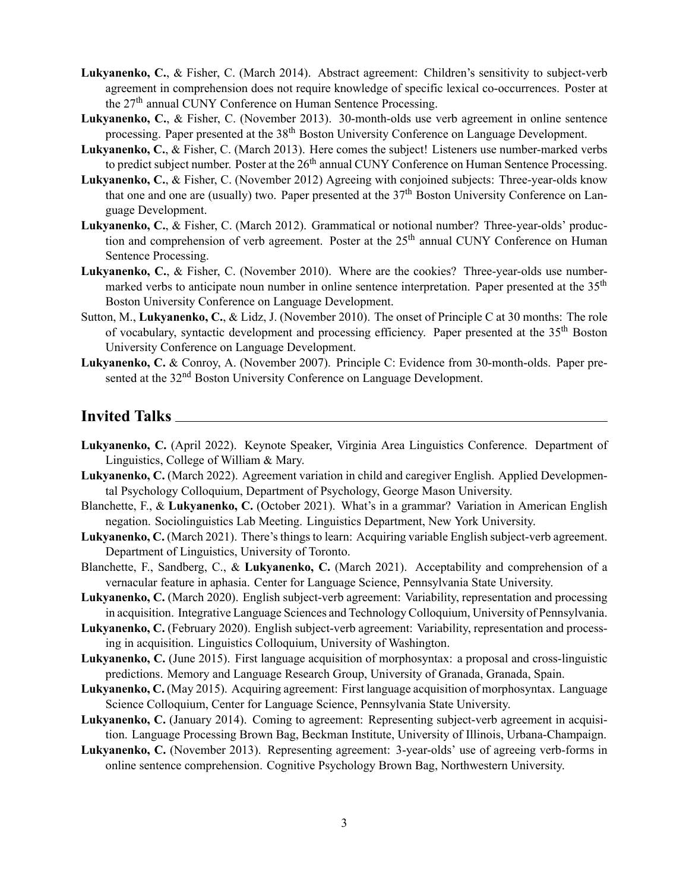- **Lukyanenko, C.**, & Fisher, C. (March 2014). Abstract agreement: Children's sensitivity to subject-verb agreement in comprehension does not require knowledge of specific lexical co-occurrences. Poster at the 27th annual CUNY Conference on Human Sentence Processing.
- **Lukyanenko, C.**, & Fisher, C. (November 2013). 30-month-olds use verb agreement in online sentence processing. Paper presented at the 38<sup>th</sup> Boston University Conference on Language Development.
- **Lukyanenko, C.**, & Fisher, C. (March 2013). Here comes the subject! Listeners use number-marked verbs to predict subject number. Poster at the 26<sup>th</sup> annual CUNY Conference on Human Sentence Processing.
- **Lukyanenko, C.**, & Fisher, C. (November 2012) Agreeing with conjoined subjects: Three-year-olds know that one and one are (usually) two. Paper presented at the  $37<sup>th</sup>$  Boston University Conference on Language Development.
- **Lukyanenko, C.**, & Fisher, C. (March 2012). Grammatical or notional number? Three-year-olds' production and comprehension of verb agreement. Poster at the  $25<sup>th</sup>$  annual CUNY Conference on Human Sentence Processing.
- **Lukyanenko, C.**, & Fisher, C. (November 2010). Where are the cookies? Three-year-olds use numbermarked verbs to anticipate noun number in online sentence interpretation. Paper presented at the 35<sup>th</sup> Boston University Conference on Language Development.
- Sutton, M., **Lukyanenko, C.**, & Lidz, J. (November 2010). The onset of Principle C at 30 months: The role of vocabulary, syntactic development and processing efficiency. Paper presented at the 35<sup>th</sup> Boston University Conference on Language Development.
- **Lukyanenko, C.** & Conroy, A. (November 2007). Principle C: Evidence from 30-month-olds. Paper presented at the 32<sup>nd</sup> Boston University Conference on Language Development.

### **Invited Talks**

- **Lukyanenko, C.** (April 2022). Keynote Speaker, Virginia Area Linguistics Conference. Department of Linguistics, College of William & Mary.
- **Lukyanenko, C.** (March 2022). Agreement variation in child and caregiver English. Applied Developmental Psychology Colloquium, Department of Psychology, George Mason University.
- Blanchette, F., & **Lukyanenko, C.** (October 2021). What's in a grammar? Variation in American English negation. Sociolinguistics Lab Meeting. Linguistics Department, New York University.
- **Lukyanenko, C.** (March 2021). There's things to learn: Acquiring variable English subject-verb agreement. Department of Linguistics, University of Toronto.
- Blanchette, F., Sandberg, C., & **Lukyanenko, C.** (March 2021). Acceptability and comprehension of a vernacular feature in aphasia. Center for Language Science, Pennsylvania State University.
- **Lukyanenko, C.** (March 2020). English subject-verb agreement: Variability, representation and processing in acquisition. Integrative Language Sciences and Technology Colloquium, University of Pennsylvania.
- **Lukyanenko, C.** (February 2020). English subject-verb agreement: Variability, representation and processing in acquisition. Linguistics Colloquium, University of Washington.
- **Lukyanenko, C.** (June 2015). First language acquisition of morphosyntax: a proposal and cross-linguistic predictions. Memory and Language Research Group, University of Granada, Granada, Spain.
- **Lukyanenko, C.** (May 2015). Acquiring agreement: First language acquisition of morphosyntax. Language Science Colloquium, Center for Language Science, Pennsylvania State University.
- **Lukyanenko, C.** (January 2014). Coming to agreement: Representing subject-verb agreement in acquisition. Language Processing Brown Bag, Beckman Institute, University of Illinois, Urbana-Champaign.
- **Lukyanenko, C.** (November 2013). Representing agreement: 3-year-olds' use of agreeing verb-forms in online sentence comprehension. Cognitive Psychology Brown Bag, Northwestern University.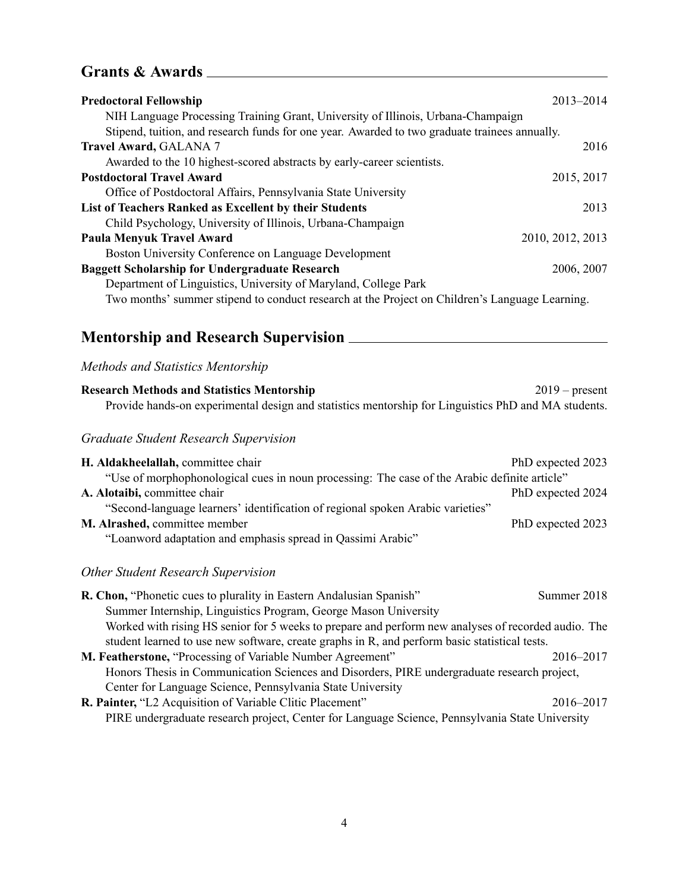# **Grants & Awards**

| <b>Predoctoral Fellowship</b>                                                                  | 2013-2014        |
|------------------------------------------------------------------------------------------------|------------------|
| NIH Language Processing Training Grant, University of Illinois, Urbana-Champaign               |                  |
| Stipend, tuition, and research funds for one year. Awarded to two graduate trainees annually.  |                  |
| <b>Travel Award, GALANA 7</b>                                                                  | 2016             |
| Awarded to the 10 highest-scored abstracts by early-career scientists.                         |                  |
| <b>Postdoctoral Travel Award</b>                                                               | 2015, 2017       |
| Office of Postdoctoral Affairs, Pennsylvania State University                                  |                  |
| List of Teachers Ranked as Excellent by their Students                                         | 2013             |
| Child Psychology, University of Illinois, Urbana-Champaign                                     |                  |
| <b>Paula Menyuk Travel Award</b>                                                               | 2010, 2012, 2013 |
| Boston University Conference on Language Development                                           |                  |
| <b>Baggett Scholarship for Undergraduate Research</b>                                          | 2006, 2007       |
| Department of Linguistics, University of Maryland, College Park                                |                  |
| Two months' summer stipend to conduct research at the Project on Children's Language Learning. |                  |

# **Mentorship and Research Supervision**

## *Methods and Statistics Mentorship*

| <b>Research Methods and Statistics Mentorship</b>                                                   | $2019$ – present |
|-----------------------------------------------------------------------------------------------------|------------------|
| Provide hands-on experimental design and statistics mentorship for Linguistics PhD and MA students. |                  |
| $C \cup U$ , $C \cup U$ , $D \cup U$ , $C \cup U$                                                   |                  |

### *Graduate Student Research Supervision*

| H. Aldakheelallah, committee chair                                                           | PhD expected 2023 |
|----------------------------------------------------------------------------------------------|-------------------|
| "Use of morphophonological cues in noun processing: The case of the Arabic definite article" |                   |
| A. Alotaibi, committee chair                                                                 | PhD expected 2024 |
| "Second-language learners' identification of regional spoken Arabic varieties"               |                   |
| M. Alrashed, committee member                                                                | PhD expected 2023 |
| "Loanword adaptation and emphasis spread in Qassimi Arabic"                                  |                   |

## *Other Student Research Supervision*

| R. Chon, "Phonetic cues to plurality in Eastern Andalusian Spanish"                                 | Summer 2018 |
|-----------------------------------------------------------------------------------------------------|-------------|
| Summer Internship, Linguistics Program, George Mason University                                     |             |
| Worked with rising HS senior for 5 weeks to prepare and perform new analyses of recorded audio. The |             |
| student learned to use new software, create graphs in R, and perform basic statistical tests.       |             |
| M. Featherstone, "Processing of Variable Number Agreement"                                          | 2016–2017   |
| Honors Thesis in Communication Sciences and Disorders, PIRE undergraduate research project,         |             |
| Center for Language Science, Pennsylvania State University                                          |             |
| R. Painter, "L2 Acquisition of Variable Clitic Placement"                                           | 2016–2017   |
| PIRE undergraduate research project, Center for Language Science, Pennsylvania State University     |             |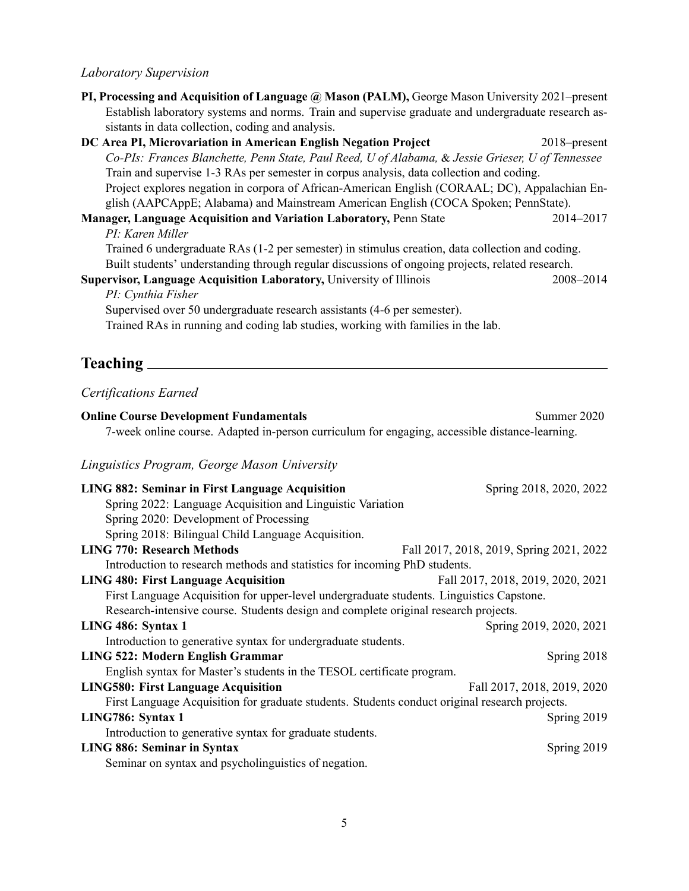#### *Laboratory Supervision*

| PI, Processing and Acquisition of Language @ Mason (PALM), George Mason University 2021–present     |                 |
|-----------------------------------------------------------------------------------------------------|-----------------|
| Establish laboratory systems and norms. Train and supervise graduate and undergraduate research as- |                 |
| sistants in data collection, coding and analysis.                                                   |                 |
| DC Area PI, Microvariation in American English Negation Project                                     | $2018$ -present |
| Co-PIs: Frances Blanchette, Penn State, Paul Reed, U of Alabama, & Jessie Grieser, U of Tennessee   |                 |
| Train and supervise 1-3 RAs per semester in corpus analysis, data collection and coding.            |                 |

Project explores negation in corpora of African-American English (CORAAL; DC), Appalachian English (AAPCAppE; Alabama) and Mainstream American English (COCA Spoken; PennState).

**Manager, Language Acquisition and Variation Laboratory, Penn State 2014–2017** *PI: Karen Miller*

Trained 6 undergraduate RAs (1-2 per semester) in stimulus creation, data collection and coding. Built students' understanding through regular discussions of ongoing projects, related research.

**Supervisor, Language Acquisition Laboratory,** University of Illinois 2008–2014

*PI: Cynthia Fisher*

Supervised over 50 undergraduate research assistants (4-6 per semester). Trained RAs in running and coding lab studies, working with families in the lab.

# **Teaching**

### *Certifications Earned*

**Online Course Development Fundamentals** Summer 2020 7-week online course. Adapted in-person curriculum for engaging, accessible distance-learning. *Linguistics Program, George Mason University* **LING 882: Seminar in First Language Acquisition** Spring 2018, 2020, 2022 Spring 2022: Language Acquisition and Linguistic Variation Spring 2020: Development of Processing Spring 2018: Bilingual Child Language Acquisition. **LING 770: Research Methods** Fall 2017, 2018, 2019, Spring 2021, 2022 Introduction to research methods and statistics for incoming PhD students. **LING 480: First Language Acquisition** Fall 2017, 2018, 2019, 2020, 2021 First Language Acquisition for upper-level undergraduate students. Linguistics Capstone. Research-intensive course. Students design and complete original research projects. **LING 486: Syntax 1** Spring 2019, 2020, 2021 Introduction to generative syntax for undergraduate students. **LING 522: Modern English Grammar** Spring 2018 English syntax for Master's students in the TESOL certificate program. **LING580: First Language Acquisition** Fall 2017, 2018, 2019, 2020 First Language Acquisition for graduate students. Students conduct original research projects. **LING786: Syntax 1** Spring 2019 Introduction to generative syntax for graduate students. **LING 886: Seminar in Syntax** Spring 2019 Seminar on syntax and psycholinguistics of negation.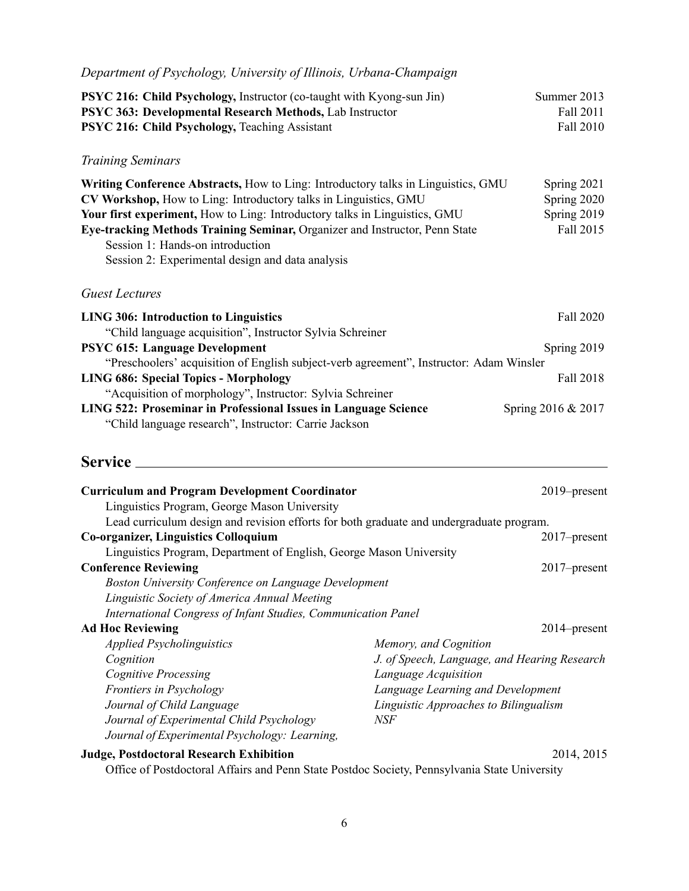| Department of Psychology, University of Illinois, Urbana-Champaign                                                                                                                                                                                                                                                                                                                                         |                                                                                                                                                                                           |                                                        |
|------------------------------------------------------------------------------------------------------------------------------------------------------------------------------------------------------------------------------------------------------------------------------------------------------------------------------------------------------------------------------------------------------------|-------------------------------------------------------------------------------------------------------------------------------------------------------------------------------------------|--------------------------------------------------------|
| <b>PSYC 216: Child Psychology, Instructor (co-taught with Kyong-sun Jin)</b><br>PSYC 363: Developmental Research Methods, Lab Instructor<br>PSYC 216: Child Psychology, Teaching Assistant                                                                                                                                                                                                                 |                                                                                                                                                                                           | Summer 2013<br>Fall 2011<br>Fall 2010                  |
| <b>Training Seminars</b>                                                                                                                                                                                                                                                                                                                                                                                   |                                                                                                                                                                                           |                                                        |
| Writing Conference Abstracts, How to Ling: Introductory talks in Linguistics, GMU<br>CV Workshop, How to Ling: Introductory talks in Linguistics, GMU<br>Your first experiment, How to Ling: Introductory talks in Linguistics, GMU<br>Eye-tracking Methods Training Seminar, Organizer and Instructor, Penn State<br>Session 1: Hands-on introduction<br>Session 2: Experimental design and data analysis |                                                                                                                                                                                           | Spring 2021<br>Spring 2020<br>Spring 2019<br>Fall 2015 |
| <b>Guest Lectures</b>                                                                                                                                                                                                                                                                                                                                                                                      |                                                                                                                                                                                           |                                                        |
| <b>LING 306: Introduction to Linguistics</b>                                                                                                                                                                                                                                                                                                                                                               |                                                                                                                                                                                           | Fall 2020                                              |
| "Child language acquisition", Instructor Sylvia Schreiner<br><b>PSYC 615: Language Development</b><br>"Preschoolers' acquisition of English subject-verb agreement", Instructor: Adam Winsler                                                                                                                                                                                                              |                                                                                                                                                                                           | Spring 2019                                            |
| <b>LING 686: Special Topics - Morphology</b><br>"Acquisition of morphology", Instructor: Sylvia Schreiner                                                                                                                                                                                                                                                                                                  |                                                                                                                                                                                           | Fall 2018                                              |
| LING 522: Proseminar in Professional Issues in Language Science<br>"Child language research", Instructor: Carrie Jackson                                                                                                                                                                                                                                                                                   |                                                                                                                                                                                           | Spring 2016 & 2017                                     |
|                                                                                                                                                                                                                                                                                                                                                                                                            |                                                                                                                                                                                           |                                                        |
| <b>Curriculum and Program Development Coordinator</b><br>Linguistics Program, George Mason University<br>Lead curriculum design and revision efforts for both graduate and undergraduate program.                                                                                                                                                                                                          |                                                                                                                                                                                           | 2019–present                                           |
| <b>Co-organizer, Linguistics Colloquium</b>                                                                                                                                                                                                                                                                                                                                                                |                                                                                                                                                                                           | 2017–present                                           |
| Linguistics Program, Department of English, George Mason University                                                                                                                                                                                                                                                                                                                                        |                                                                                                                                                                                           |                                                        |
| <b>Conference Reviewing</b><br><b>Boston University Conference on Language Development</b><br>Linguistic Society of America Annual Meeting<br>International Congress of Infant Studies, Communication Panel                                                                                                                                                                                                |                                                                                                                                                                                           | 2017-present                                           |
| <b>Ad Hoc Reviewing</b>                                                                                                                                                                                                                                                                                                                                                                                    |                                                                                                                                                                                           | 2014–present                                           |
| <b>Applied Psycholinguistics</b><br>Cognition<br><b>Cognitive Processing</b><br>Frontiers in Psychology<br>Journal of Child Language<br>Journal of Experimental Child Psychology                                                                                                                                                                                                                           | Memory, and Cognition<br>J. of Speech, Language, and Hearing Research<br>Language Acquisition<br>Language Learning and Development<br>Linguistic Approaches to Bilingualism<br><b>NSF</b> |                                                        |
| Journal of Experimental Psychology: Learning,<br><b>Judge, Postdoctoral Research Exhibition</b>                                                                                                                                                                                                                                                                                                            |                                                                                                                                                                                           | 2014, 2015                                             |
|                                                                                                                                                                                                                                                                                                                                                                                                            |                                                                                                                                                                                           |                                                        |

Office of Postdoctoral Affairs and Penn State Postdoc Society, Pennsylvania State University